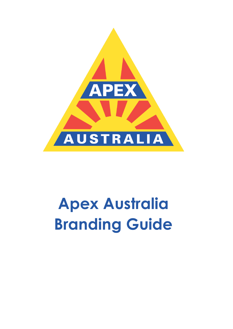

# **Apex Australia Branding Guide**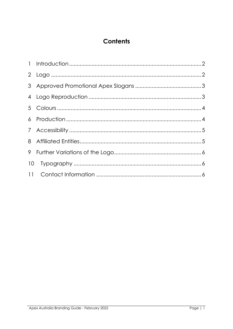## **Contents**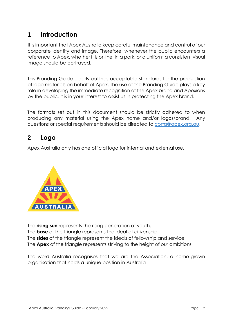## <span id="page-2-0"></span>**1 Introduction**

It is important that Apex Australia keep careful maintenance and control of our corporate identity and image. Therefore, whenever the public encounters a reference to Apex, whether it is online, in a park, or a uniform a consistent visual image should be portrayed.

This Branding Guide clearly outlines acceptable standards for the production of logo materials on behalf of Apex. The use of the Branding Guide plays a key role in developing the immediate recognition of the Apex brand and Apexians by the public. It is in your interest to assist us in protecting the Apex brand.

The formats set out in this document should be strictly adhered to when producing any material using the Apex name and/or logos/brand. Any questions or special requirements should be directed to [coms@apex.org.au.](mailto:coms@apex.org.au)

### <span id="page-2-1"></span>**2 Logo**

Apex Australia only has one official logo for internal and external use.



The **rising sun** represents the rising generation of youth. The **base** of the triangle represents the ideal of citizenship. The **sides** of the triangle represent the ideals of fellowship and service. The **Apex** of the triangle represents striving to the height of our ambitions

The word Australia recognises that we are the Association, a home-grown organisation that holds a unique position in Australia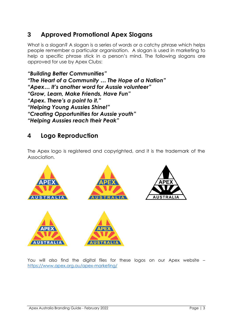## <span id="page-3-0"></span>**3 Approved Promotional Apex Slogans**

What is a slogan? A slogan is a series of words or a catchy phrase which helps people remember a particular organisation. A slogan is used in marketing to help a specific phrase stick in a person's mind. The following slogans are approved for use by Apex Clubs:

*"Building Better Communities" "The Heart of a Community … The Hope of a Nation" "Apex… It's another word for Aussie volunteer" "Grow, Learn, Make Friends, Have Fun" "Apex. There's a point to it." "Helping Young Aussies Shine!" "Creating Opportunities for Aussie youth" "Helping Aussies reach their Peak"*

## <span id="page-3-1"></span>**4 Logo Reproduction**

The Apex logo is registered and copyrighted, and it is the trademark of the Association.



You will also find the digital files for these logos on our Apex website – <https://www.apex.org.au/apex-marketing/>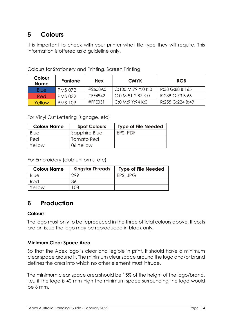# <span id="page-4-0"></span>**5 Colours**

It is important to check with your printer what file type they will require. This information is offered as a guideline only.

| Colour<br><b>Name</b> | <b>Pantone</b> | <b>Hex</b> | <b>CMYK</b>        | <b>RGB</b>       |
|-----------------------|----------------|------------|--------------------|------------------|
| Blue                  | <b>PMS 072</b> | #2658A5    | C:100 M:79 Y:0 K:0 | R:38 G:88 B:165  |
| Red                   | <b>PMS 032</b> | #EF4942    | C:0 M:91 Y:87 K:0  | R:239 G:73 B:66  |
| Yellow                | <b>PMS 109</b> | $#$ FFEO31 | C:0 M:9 Y:94 K:0   | R:255 G:224 B:49 |

Colours for Stationery and Printing, Screen Printing

For Vinyl Cut Lettering (signage, etc)

| <b>Colour Name</b> | <b>Spot Colours</b> | <b>Type of File Needed</b> |
|--------------------|---------------------|----------------------------|
| Blue               | Sapphire Blue       | EPS, PDF                   |
| Red                | Tomato Red          |                            |
| Yellow             | 06 Yellow           |                            |

For Embroidery (club uniforms, etc)

| <b>Colour Name</b> | <b>Kingstar Threads</b> | <b>Type of File Needed</b> |
|--------------------|-------------------------|----------------------------|
| Blue               | 299                     | EPS, JPG                   |
| Red                | 36                      |                            |
| Yellow             | '08                     |                            |

## <span id="page-4-1"></span>**6 Production**

#### **Colours**

The logo must only to be reproduced in the three official colours above. If costs are an issue the logo may be reproduced in black only.

#### **Minimum Clear Space Area**

So that the Apex logo is clear and legible in print, it should have a minimum clear space around it. The minimum clear space around the logo and/or brand defines the area into which no other element must intrude.

The minimum clear space area should be 15% of the height of the logo/brand, i.e., if the logo is 40 mm high the minimum space surrounding the logo would be 6 mm.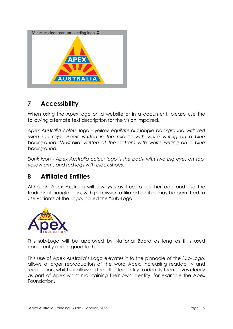

## <span id="page-5-0"></span>**7 Accessibility**

When using the Apex logo on a website or in a document, please use the following alternate text description for the vision impaired.

*Apex Australia colour logo - yellow equilateral triangle background with red rising sun rays. 'Apex' written in the middle with white writing on a blue background. 'Australia' written at the bottom with white writing on a blue background.*

*Dunk icon - Apex Australia colour logo is the body with two big eyes on top, yellow arms and red legs with black shoes.*

## <span id="page-5-1"></span>**8 Affiliated Entities**

Although Apex Australia will always stay true to our heritage and use the traditional triangle logo, with permission affiliated entities may be permitted to use variants of the Logo, called the "sub-Logo".



This sub-Logo will be approved by National Board as long as it is used consistently and in good faith.

This use of Apex Australia's Logo elevates it to the pinnacle of the Sub-Logo, allows a larger reproduction of the word Apex, increasing readability and recognition, whilst still allowing the affiliated entity to identify themselves clearly as part of Apex whilst maintaining their own identity, for example the Apex Foundation.